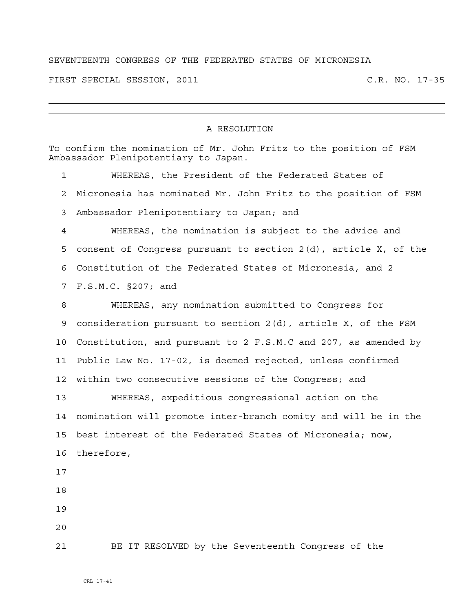## SEVENTEENTH CONGRESS OF THE FEDERATED STATES OF MICRONESIA

FIRST SPECIAL SESSION, 2011 C.R. NO. 17-35

## A RESOLUTION

|    | To confirm the nomination of Mr. John Fritz to the position of FSM<br>Ambassador Plenipotentiary to Japan. |
|----|------------------------------------------------------------------------------------------------------------|
| 1  | WHEREAS, the President of the Federated States of                                                          |
| 2  | Micronesia has nominated Mr. John Fritz to the position of FSM                                             |
| 3  | Ambassador Plenipotentiary to Japan; and                                                                   |
| 4  | WHEREAS, the nomination is subject to the advice and                                                       |
| 5  | consent of Congress pursuant to section $2(d)$ , article X, of the                                         |
| 6  | Constitution of the Federated States of Micronesia, and 2                                                  |
| 7  | F.S.M.C. §207; and                                                                                         |
| 8  | WHEREAS, any nomination submitted to Congress for                                                          |
| 9  | consideration pursuant to section 2(d), article X, of the FSM                                              |
| 10 | Constitution, and pursuant to 2 F.S.M.C and 207, as amended by                                             |
| 11 | Public Law No. 17-02, is deemed rejected, unless confirmed                                                 |
| 12 | within two consecutive sessions of the Congress; and                                                       |
| 13 | WHEREAS, expeditious congressional action on the                                                           |
| 14 | nomination will promote inter-branch comity and will be in the                                             |
| 15 | best interest of the Federated States of Micronesia; now,                                                  |
| 16 | therefore,                                                                                                 |
| 17 |                                                                                                            |
| 18 |                                                                                                            |
| 19 |                                                                                                            |
| 20 |                                                                                                            |
| 21 | BE IT RESOLVED by the Seventeenth Congress of the                                                          |